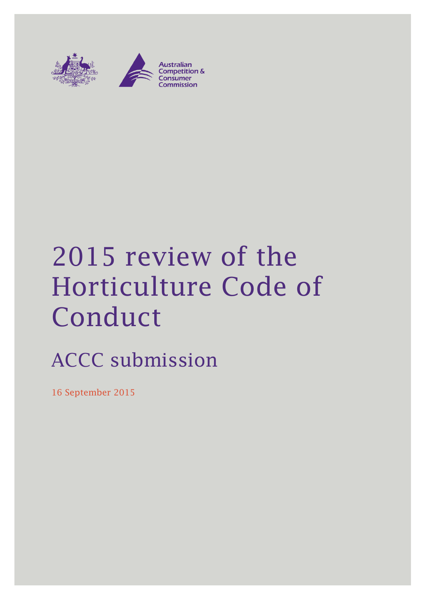

# 2015 review of the Horticulture Code of Conduct

# ACCC submission

16 September 2015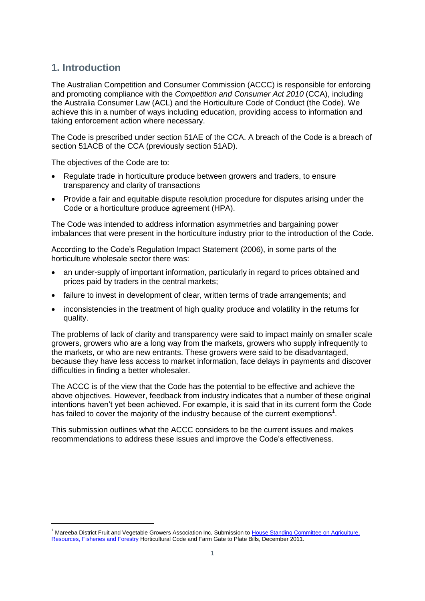# **1. Introduction**

-

The Australian Competition and Consumer Commission (ACCC) is responsible for enforcing and promoting compliance with the *Competition and Consumer Act 2010* (CCA), including the Australia Consumer Law (ACL) and the Horticulture Code of Conduct (the Code). We achieve this in a number of ways including education, providing access to information and taking enforcement action where necessary.

The Code is prescribed under section 51AE of the CCA. A breach of the Code is a breach of section 51ACB of the CCA (previously section 51AD).

The objectives of the Code are to:

- Regulate trade in horticulture produce between growers and traders, to ensure transparency and clarity of transactions
- Provide a fair and equitable dispute resolution procedure for disputes arising under the Code or a horticulture produce agreement (HPA).

The Code was intended to address information asymmetries and bargaining power imbalances that were present in the horticulture industry prior to the introduction of the Code.

According to the Code's Regulation Impact Statement (2006), in some parts of the horticulture wholesale sector there was:

- an under-supply of important information, particularly in regard to prices obtained and prices paid by traders in the central markets;
- failure to invest in development of clear, written terms of trade arrangements; and
- inconsistencies in the treatment of high quality produce and volatility in the returns for quality.

The problems of lack of clarity and transparency were said to impact mainly on smaller scale growers, growers who are a long way from the markets, growers who supply infrequently to the markets, or who are new entrants. These growers were said to be disadvantaged, because they have less access to market information, face delays in payments and discover difficulties in finding a better wholesaler.

The ACCC is of the view that the Code has the potential to be effective and achieve the above objectives. However, feedback from industry indicates that a number of these original intentions haven't yet been achieved. For example, it is said that in its current form the Code has failed to cover the majority of the industry because of the current exemptions<sup>1</sup>.

This submission outlines what the ACCC considers to be the current issues and makes recommendations to address these issues and improve the Code's effectiveness.

<sup>&</sup>lt;sup>1</sup> Mareeba District Fruit and Vegetable Growers Association Inc, Submission to House Standing Committee on Agriculture, [Resources, Fisheries and Forestry](http://www.aph.gov.au/parliamentary_business/committees/house_of_representatives_committees?url=arff/index.htm) Horticultural Code and Farm Gate to Plate Bills, December 2011.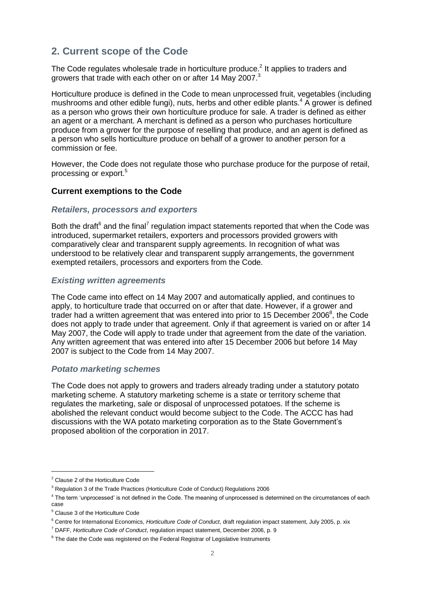# **2. Current scope of the Code**

The Code regulates wholesale trade in horticulture produce.<sup>2</sup> It applies to traders and growers that trade with each other on or after 14 May 2007.<sup>3</sup>

Horticulture produce is defined in the Code to mean unprocessed fruit, vegetables (including mushrooms and other edible fungi), nuts, herbs and other edible plants.<sup>4</sup> A grower is defined as a person who grows their own horticulture produce for sale. A trader is defined as either an agent or a merchant. A merchant is defined as a person who purchases horticulture produce from a grower for the purpose of reselling that produce, and an agent is defined as a person who sells horticulture produce on behalf of a grower to another person for a commission or fee.

However, the Code does not regulate those who purchase produce for the purpose of retail, processing or export.<sup>5</sup>

# **Current exemptions to the Code**

# *Retailers, processors and exporters*

Both the draft $6$  and the final<sup>7</sup> regulation impact statements reported that when the Code was introduced, supermarket retailers, exporters and processors provided growers with comparatively clear and transparent supply agreements. In recognition of what was understood to be relatively clear and transparent supply arrangements, the government exempted retailers, processors and exporters from the Code.

#### *Existing written agreements*

The Code came into effect on 14 May 2007 and automatically applied, and continues to apply, to horticulture trade that occurred on or after that date. However, if a grower and trader had a written agreement that was entered into prior to 15 December  $2006^8$ , the Code does not apply to trade under that agreement. Only if that agreement is varied on or after 14 May 2007, the Code will apply to trade under that agreement from the date of the variation. Any written agreement that was entered into after 15 December 2006 but before 14 May 2007 is subject to the Code from 14 May 2007.

#### *Potato marketing schemes*

The Code does not apply to growers and traders already trading under a statutory potato marketing scheme. A statutory marketing scheme is a state or territory scheme that regulates the marketing, sale or disposal of unprocessed potatoes. If the scheme is abolished the relevant conduct would become subject to the Code. The ACCC has had discussions with the WA potato marketing corporation as to the State Government's proposed abolition of the corporation in 2017.

-

<sup>2</sup> Clause 2 of the Horticulture Code

<sup>&</sup>lt;sup>3</sup> Regulation 3 of the Trade Practices (Horticulture Code of Conduct) Regulations 2006

<sup>&</sup>lt;sup>4</sup> The term 'unprocessed' is not defined in the Code. The meaning of unprocessed is determined on the circumstances of each case

<sup>5</sup> Clause 3 of the Horticulture Code

<sup>6</sup> Centre for International Economics, *Horticulture Code of Conduct*, draft regulation impact statement, July 2005, p. xix

<sup>7</sup> DAFF, *Horticulture Code of Conduct*, regulation impact statement, December 2006, p. 9

<sup>&</sup>lt;sup>8</sup> The date the Code was registered on the Federal Registrar of Legislative Instruments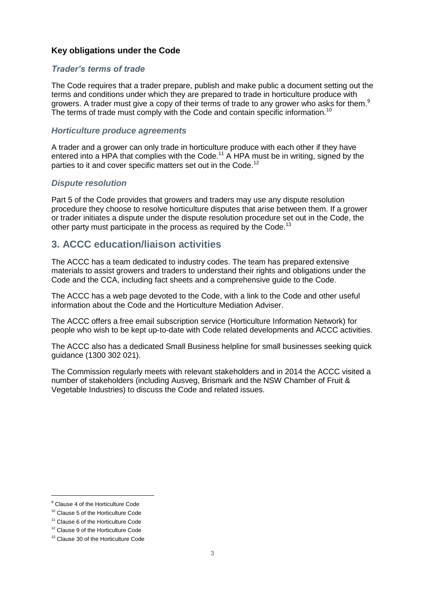# **Key obligations under the Code**

# *Trader's terms of trade*

The Code requires that a trader prepare, publish and make public a document setting out the terms and conditions under which they are prepared to trade in horticulture produce with growers. A trader must give a copy of their terms of trade to any grower who asks for them.<sup>9</sup> The terms of trade must comply with the Code and contain specific information.<sup>10</sup>

# *Horticulture produce agreements*

A trader and a grower can only trade in horticulture produce with each other if they have entered into a HPA that complies with the Code.<sup>11</sup> A HPA must be in writing, signed by the parties to it and cover specific matters set out in the Code.<sup>12</sup>

# *Dispute resolution*

Part 5 of the Code provides that growers and traders may use any dispute resolution procedure they choose to resolve horticulture disputes that arise between them. If a grower or trader initiates a dispute under the dispute resolution procedure set out in the Code, the other party must participate in the process as required by the Code.<sup>13</sup>

# **3. ACCC education/liaison activities**

The ACCC has a team dedicated to industry codes. The team has prepared extensive materials to assist growers and traders to understand their rights and obligations under the Code and the CCA, including fact sheets and a comprehensive guide to the Code.

The ACCC has a web page devoted to the Code, with a link to the Code and other useful information about the Code and the Horticulture Mediation Adviser.

The ACCC offers a free email subscription service (Horticulture Information Network) for people who wish to be kept up-to-date with Code related developments and ACCC activities.

The ACCC also has a dedicated Small Business helpline for small businesses seeking quick guidance (1300 302 021).

The Commission regularly meets with relevant stakeholders and in 2014 the ACCC visited a number of stakeholders (including Ausveg, Brismark and the NSW Chamber of Fruit & Vegetable Industries) to discuss the Code and related issues.

-

<sup>&</sup>lt;sup>9</sup> Clause 4 of the Horticulture Code

<sup>&</sup>lt;sup>10</sup> Clause 5 of the Horticulture Code

<sup>&</sup>lt;sup>11</sup> Clause 6 of the Horticulture Code

<sup>&</sup>lt;sup>12</sup> Clause 9 of the Horticulture Code

<sup>&</sup>lt;sup>13</sup> Clause 30 of the Horticulture Code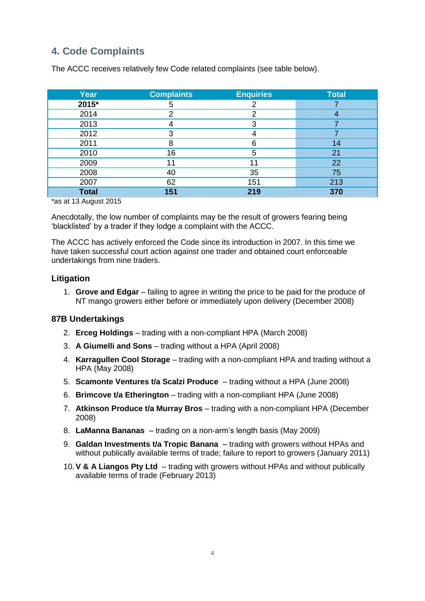# **4. Code Complaints**

| <b>Year</b>  | <b>Complaints</b> | <b>Enquiries</b> | <b>Total</b> |
|--------------|-------------------|------------------|--------------|
| 2015*        | 5                 |                  |              |
| 2014         | ົ                 | っ                |              |
| 2013         |                   | 3                |              |
| 2012         | 3                 |                  |              |
| 2011         | 8                 | 6                | 14           |
| 2010         | 16                | 5                | 21           |
| 2009         | 11                | 11               | 22           |
| 2008         | 40                | 35               | 75           |
| 2007         | 62                | 151              | 213          |
| <b>Total</b> | 151               | 219              | 370          |

The ACCC receives relatively few Code related complaints (see table below).

\*as at 13 August 2015

Anecdotally, the low number of complaints may be the result of growers fearing being 'blacklisted' by a trader if they lodge a complaint with the ACCC.

The ACCC has actively enforced the Code since its introduction in 2007. In this time we have taken successful court action against one trader and obtained court enforceable undertakings from nine traders.

# **Litigation**

1. **Grove and Edgar** – failing to agree in writing the price to be paid for the produce of NT mango growers either before or immediately upon delivery (December 2008)

# **87B Undertakings**

- 2. **Erceg Holdings**  trading with a non-compliant HPA (March 2008)
- 3. **A Giumelli and Sons**  trading without a HPA (April 2008)
- 4. **Karragullen Cool Storage**  trading with a non-compliant HPA and trading without a HPA (May 2008)
- 5. **Scamonte Ventures t/a Scalzi Produce**  trading without a HPA (June 2008)
- 6. **Brimcove t/a Etherington**  trading with a non-compliant HPA (June 2008)
- 7. **Atkinson Produce t/a Murray Bros**  trading with a non-compliant HPA (December 2008)
- 8. **LaManna Bananas**  trading on a non-arm's length basis (May 2009)
- 9. **Galdan Investments t/a Tropic Banana**  trading with growers without HPAs and without publically available terms of trade; failure to report to growers (January 2011)
- 10.**V & A Liangos Pty Ltd**  trading with growers without HPAs and without publically available terms of trade (February 2013)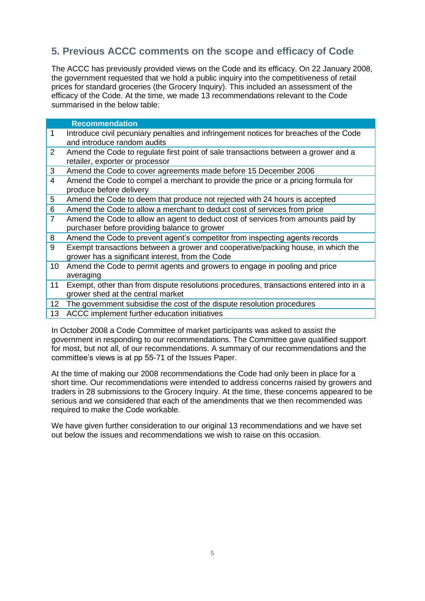# **5. Previous ACCC comments on the scope and efficacy of Code**

The ACCC has previously provided views on the Code and its efficacy. On 22 January 2008, the government requested that we hold a public inquiry into the competitiveness of retail prices for standard groceries (the Grocery Inquiry). This included an assessment of the efficacy of the Code. At the time, we made 13 recommendations relevant to the Code summarised in the below table:

# **Recommendation** 1 Introduce civil pecuniary penalties and infringement notices for breaches of the Code and introduce random audits 2 Amend the Code to regulate first point of sale transactions between a grower and a retailer, exporter or processor 3 Amend the Code to cover agreements made before 15 December 2006 4 Amend the Code to compel a merchant to provide the price or a pricing formula for produce before delivery 5 Amend the Code to deem that produce not rejected with 24 hours is accepted 6 Amend the Code to allow a merchant to deduct cost of services from price 7 Amend the Code to allow an agent to deduct cost of services from amounts paid by purchaser before providing balance to grower 8 Amend the Code to prevent agent's competitor from inspecting agents records 9 Exempt transactions between a grower and cooperative/packing house, in which the grower has a significant interest, from the Code 10 Amend the Code to permit agents and growers to engage in pooling and price averaging 11 Exempt, other than from dispute resolutions procedures, transactions entered into in a

- grower shed at the central market
- 12 The government subsidise the cost of the dispute resolution procedures
- 13 ACCC implement further education initiatives

In October 2008 a Code Committee of market participants was asked to assist the government in responding to our recommendations. The Committee gave qualified support for most, but not all, of our recommendations. A summary of our recommendations and the committee's views is at pp 55-71 of the Issues Paper.

At the time of making our 2008 recommendations the Code had only been in place for a short time. Our recommendations were intended to address concerns raised by growers and traders in 28 submissions to the Grocery Inquiry. At the time, these concerns appeared to be serious and we considered that each of the amendments that we then recommended was required to make the Code workable.

We have given further consideration to our original 13 recommendations and we have set out below the issues and recommendations we wish to raise on this occasion.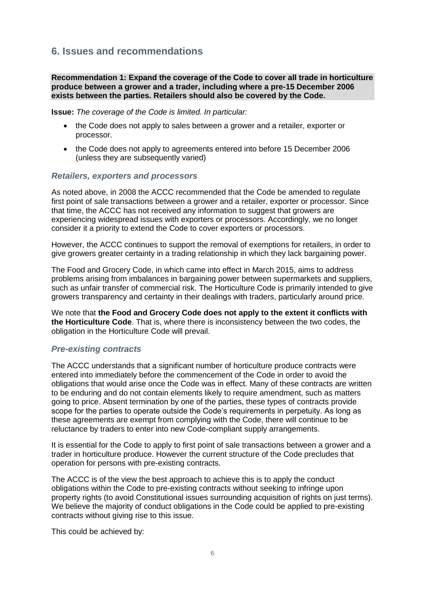# **6. Issues and recommendations**

# **Recommendation 1: Expand the coverage of the Code to cover all trade in horticulture produce between a grower and a trader, including where a pre-15 December 2006 exists between the parties. Retailers should also be covered by the Code.**

**Issue:** *The coverage of the Code is limited. In particular:*

- the Code does not apply to sales between a grower and a retailer, exporter or processor.
- the Code does not apply to agreements entered into before 15 December 2006 (unless they are subsequently varied)

#### *Retailers, exporters and processors*

As noted above, in 2008 the ACCC recommended that the Code be amended to regulate first point of sale transactions between a grower and a retailer, exporter or processor. Since that time, the ACCC has not received any information to suggest that growers are experiencing widespread issues with exporters or processors. Accordingly, we no longer consider it a priority to extend the Code to cover exporters or processors.

However, the ACCC continues to support the removal of exemptions for retailers, in order to give growers greater certainty in a trading relationship in which they lack bargaining power.

The Food and Grocery Code, in which came into effect in March 2015, aims to address problems arising from imbalances in bargaining power between supermarkets and suppliers, such as unfair transfer of commercial risk. The Horticulture Code is primarily intended to give growers transparency and certainty in their dealings with traders, particularly around price.

We note that **the Food and Grocery Code does not apply to the extent it conflicts with the Horticulture Code**. That is, where there is inconsistency between the two codes, the obligation in the Horticulture Code will prevail.

# *Pre-existing contracts*

The ACCC understands that a significant number of horticulture produce contracts were entered into immediately before the commencement of the Code in order to avoid the obligations that would arise once the Code was in effect. Many of these contracts are written to be enduring and do not contain elements likely to require amendment, such as matters going to price. Absent termination by one of the parties, these types of contracts provide scope for the parties to operate outside the Code's requirements in perpetuity. As long as these agreements are exempt from complying with the Code, there will continue to be reluctance by traders to enter into new Code-compliant supply arrangements.

It is essential for the Code to apply to first point of sale transactions between a grower and a trader in horticulture produce. However the current structure of the Code precludes that operation for persons with pre-existing contracts.

The ACCC is of the view the best approach to achieve this is to apply the conduct obligations within the Code to pre-existing contracts without seeking to infringe upon property rights (to avoid Constitutional issues surrounding acquisition of rights on just terms). We believe the majority of conduct obligations in the Code could be applied to pre-existing contracts without giving rise to this issue.

This could be achieved by: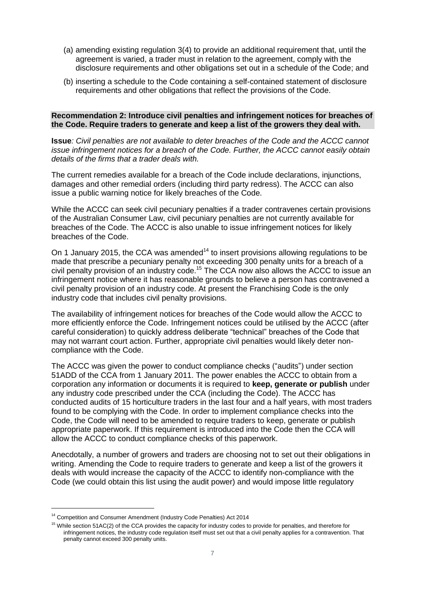- (a) amending existing regulation 3(4) to provide an additional requirement that, until the agreement is varied, a trader must in relation to the agreement, comply with the disclosure requirements and other obligations set out in a schedule of the Code; and
- (b) inserting a schedule to the Code containing a self-contained statement of disclosure requirements and other obligations that reflect the provisions of the Code.

# **Recommendation 2: Introduce civil penalties and infringement notices for breaches of the Code. Require traders to generate and keep a list of the growers they deal with.**

**Issue***: Civil penalties are not available to deter breaches of the Code and the ACCC cannot issue infringement notices for a breach of the Code. Further, the ACCC cannot easily obtain details of the firms that a trader deals with.*

The current remedies available for a breach of the Code include declarations, injunctions, damages and other remedial orders (including third party redress). The ACCC can also issue a public warning notice for likely breaches of the Code.

While the ACCC can seek civil pecuniary penalties if a trader contravenes certain provisions of the Australian Consumer Law, civil pecuniary penalties are not currently available for breaches of the Code. The ACCC is also unable to issue infringement notices for likely breaches of the Code.

On 1 January 2015, the CCA was amended<sup>14</sup> to insert provisions allowing regulations to be made that prescribe a pecuniary penalty not exceeding 300 penalty units for a breach of a civil penalty provision of an industry code.<sup>15</sup> The CCA now also allows the ACCC to issue an infringement notice where it has reasonable grounds to believe a person has contravened a civil penalty provision of an industry code. At present the Franchising Code is the only industry code that includes civil penalty provisions.

The availability of infringement notices for breaches of the Code would allow the ACCC to more efficiently enforce the Code. Infringement notices could be utilised by the ACCC (after careful consideration) to quickly address deliberate "technical" breaches of the Code that may not warrant court action. Further, appropriate civil penalties would likely deter noncompliance with the Code.

The ACCC was given the power to conduct compliance checks ("audits") under section 51ADD of the CCA from 1 January 2011. The power enables the ACCC to obtain from a corporation any information or documents it is required to **keep, generate or publish** under any industry code prescribed under the CCA (including the Code). The ACCC has conducted audits of 15 horticulture traders in the last four and a half years, with most traders found to be complying with the Code. In order to implement compliance checks into the Code, the Code will need to be amended to require traders to keep, generate or publish appropriate paperwork. If this requirement is introduced into the Code then the CCA will allow the ACCC to conduct compliance checks of this paperwork.

Anecdotally, a number of growers and traders are choosing not to set out their obligations in writing. Amending the Code to require traders to generate and keep a list of the growers it deals with would increase the capacity of the ACCC to identify non-compliance with the Code (we could obtain this list using the audit power) and would impose little regulatory

-

<sup>&</sup>lt;sup>14</sup> Competition and Consumer Amendment (Industry Code Penalties) Act 2014

<sup>&</sup>lt;sup>15</sup> While section 51AC(2) of the CCA provides the capacity for industry codes to provide for penalties, and therefore for infringement notices, the industry code regulation itself must set out that a civil penalty applies for a contravention. That penalty cannot exceed 300 penalty units.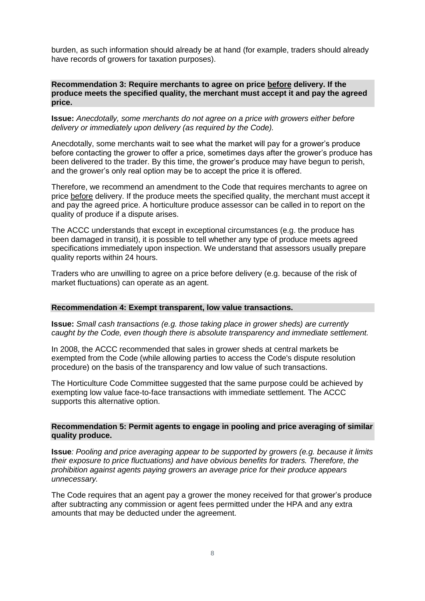burden, as such information should already be at hand (for example, traders should already have records of growers for taxation purposes).

#### **Recommendation 3: Require merchants to agree on price before delivery. If the produce meets the specified quality, the merchant must accept it and pay the agreed price.**

**Issue:** *Anecdotally, some merchants do not agree on a price with growers either before delivery or immediately upon delivery (as required by the Code).* 

Anecdotally, some merchants wait to see what the market will pay for a grower's produce before contacting the grower to offer a price, sometimes days after the grower's produce has been delivered to the trader. By this time, the grower's produce may have begun to perish, and the grower's only real option may be to accept the price it is offered.

Therefore, we recommend an amendment to the Code that requires merchants to agree on price before delivery. If the produce meets the specified quality, the merchant must accept it and pay the agreed price. A horticulture produce assessor can be called in to report on the quality of produce if a dispute arises.

The ACCC understands that except in exceptional circumstances (e.g. the produce has been damaged in transit), it is possible to tell whether any type of produce meets agreed specifications immediately upon inspection. We understand that assessors usually prepare quality reports within 24 hours.

Traders who are unwilling to agree on a price before delivery (e.g. because of the risk of market fluctuations) can operate as an agent.

#### **Recommendation 4: Exempt transparent, low value transactions.**

**Issue:** *Small cash transactions (e.g. those taking place in grower sheds) are currently caught by the Code, even though there is absolute transparency and immediate settlement.*

In 2008, the ACCC recommended that sales in grower sheds at central markets be exempted from the Code (while allowing parties to access the Code's dispute resolution procedure) on the basis of the transparency and low value of such transactions.

The Horticulture Code Committee suggested that the same purpose could be achieved by exempting low value face-to-face transactions with immediate settlement. The ACCC supports this alternative option.

#### **Recommendation 5: Permit agents to engage in pooling and price averaging of similar quality produce.**

**Issue***: Pooling and price averaging appear to be supported by growers (e.g. because it limits their exposure to price fluctuations) and have obvious benefits for traders. Therefore, the prohibition against agents paying growers an average price for their produce appears unnecessary.*

The Code requires that an agent pay a grower the money received for that grower's produce after subtracting any commission or agent fees permitted under the HPA and any extra amounts that may be deducted under the agreement.